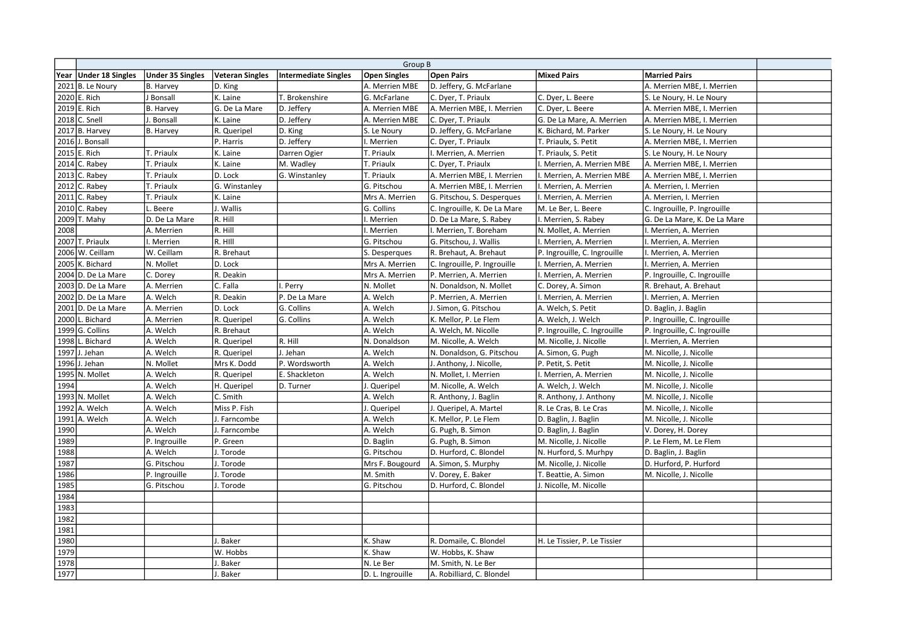|      | Group B                 |                         |                        |                      |                     |                              |                              |                              |  |
|------|-------------------------|-------------------------|------------------------|----------------------|---------------------|------------------------------|------------------------------|------------------------------|--|
|      | Year   Under 18 Singles | <b>Under 35 Singles</b> | <b>Veteran Singles</b> | Intermediate Singles | <b>Open Singles</b> | <b>Open Pairs</b>            | <b>Mixed Pairs</b>           | <b>Married Pairs</b>         |  |
|      | $2021$ B. Le Noury      | <b>B. Harvey</b>        | D. King                |                      | A. Merrien MBE      | D. Jeffery, G. McFarlane     |                              | A. Merrien MBE, I. Merrien   |  |
|      | 2020 E. Rich            | J Bonsall               | K. Laine               | T. Brokenshire       | G. McFarlane        | C. Dyer, T. Priaulx          | C. Dyer, L. Beere            | S. Le Noury, H. Le Noury     |  |
|      | 2019 E. Rich            | <b>B. Harvey</b>        | G. De La Mare          | D. Jeffery           | A. Merrien MBE      | A. Merrien MBE, I. Merrien   | C. Dyer, L. Beere            | A. Merrien MBE, I. Merrien   |  |
|      | 2018 C. Snell           | Bonsall                 | K. Laine               | D. Jeffery           | A. Merrien MBE      | C. Dyer, T. Priaulx          | G. De La Mare, A. Merrien    | A. Merrien MBE, I. Merrien   |  |
|      | 2017 B. Harvey          | <b>B.</b> Harvey        | R. Queripel            | D. King              | S. Le Noury         | D. Jeffery, G. McFarlane     | K. Bichard, M. Parker        | S. Le Noury, H. Le Noury     |  |
|      | 2016 J. Bonsall         |                         | P. Harris              | D. Jeffery           | . Merrien           | C. Dyer, T. Priaulx          | T. Priaulx, S. Petit         | A. Merrien MBE, I. Merrien   |  |
|      | 2015 E. Rich            | T. Priaulx              | K. Laine               | Darren Ogier         | T. Priaulx          | . Merrien, A. Merrien        | T. Priaulx, S. Petit         | S. Le Noury, H. Le Noury     |  |
|      | 2014 C. Rabey           | T. Priaulx              | K. Laine               | M. Wadley            | T. Priaulx          | C. Dyer, T. Priaulx          | . Merrien, A. Merrien MBE    | A. Merrien MBE, I. Merrien   |  |
|      | 2013 C. Rabey           | T. Priaulx              | D. Lock                | G. Winstanley        | T. Priaulx          | A. Merrien MBE, I. Merrien   | Merrien, A. Merrien MBE      | A. Merrien MBE, I. Merrien   |  |
|      | 2012 C. Rabey           | T. Priaulx              | G. Winstanley          |                      | G. Pitschou         | A. Merrien MBE, I. Merrien   | . Merrien, A. Merrien        | A. Merrien, I. Merrien       |  |
|      | 2011 C. Rabey           | T. Priaulx              | K. Laine               |                      | Mrs A. Merrien      | G. Pitschou, S. Desperques   | . Merrien, A. Merrien        | A. Merrien, I. Merrien       |  |
|      | 2010 C. Rabey           | Beere                   | . Wallis               |                      | G. Collins          | C. Ingrouille, K. De La Mare | M. Le Ber, L. Beere          | C. Ingrouille, P. Ingrouille |  |
|      | 2009 T. Mahy            | D. De La Mare           | R. Hill                |                      | . Merrien           | D. De La Mare, S. Rabey      | . Merrien, S. Rabey          | G. De La Mare, K. De La Mare |  |
| 2008 |                         | A. Merrien              | R. Hill                |                      | . Merrien           | I. Merrien, T. Boreham       | N. Mollet, A. Merrien        | . Merrien, A. Merrien        |  |
|      | 2007 T. Priaulx         | . Merrien               | R. HIII                |                      | G. Pitschou         | G. Pitschou, J. Wallis       | Merrien, A. Merrien          | . Merrien, A. Merrien        |  |
|      | 2006 W. Ceillam         | W. Ceillam              | R. Brehaut             |                      | S. Desperques       | R. Brehaut, A. Brehaut       | P. Ingrouille, C. Ingrouille | I. Merrien, A. Merrien       |  |
|      | 2005 K. Bichard         | N. Mollet               | D. Lock                |                      | Mrs A. Merrien      | C. Ingrouille, P. Ingrouille | . Merrien, A. Merrien        | I. Merrien, A. Merrien       |  |
|      | $2004$ D. De La Mare    | C. Dorey                | R. Deakin              |                      | Mrs A. Merrien      | P. Merrien, A. Merrien       | . Merrien, A. Merrien        | P. Ingrouille, C. Ingrouille |  |
|      | 2003 D. De La Mare      | A. Merrien              | C. Falla               | I. Perry             | N. Mollet           | N. Donaldson, N. Mollet      | C. Dorey, A. Simon           | R. Brehaut, A. Brehaut       |  |
|      | $2002$ D. De La Mare    | A. Welch                | R. Deakin              | P. De La Mare        | A. Welch            | P. Merrien, A. Merrien       | . Merrien, A. Merrien        | I. Merrien, A. Merrien       |  |
|      | $2001$ D. De La Mare    | A. Merrien              | D. Lock                | G. Collins           | A. Welch            | J. Simon, G. Pitschou        | A. Welch, S. Petit           | D. Baglin, J. Baglin         |  |
|      | 2000 L. Bichard         | A. Merrien              | R. Queripel            | G. Collins           | A. Welch            | K. Mellor, P. Le Flem        | A. Welch, J. Welch           | P. Ingrouille, C. Ingrouille |  |
|      | $1999$ G. Collins       | A. Welch                | R. Brehaut             |                      | A. Welch            | A. Welch, M. Nicolle         | P. Ingrouille, C. Ingrouille | P. Ingrouille, C. Ingrouille |  |
|      | 1998 L. Bichard         | A. Welch                | R. Queripel            | lr. hill             | N. Donaldson        | M. Nicolle, A. Welch         | M. Nicolle, J. Nicolle       | I. Merrien, A. Merrien       |  |
|      | 1997 J. Jehan           | A. Welch                | R. Queripel            | J. Jehan             | A. Welch            | N. Donaldson, G. Pitschou    | A. Simon, G. Pugh            | M. Nicolle, J. Nicolle       |  |
|      | 1996 J. Jehan           | N. Mollet               | Mrs K. Dodd            | P. Wordsworth        | A. Welch            | J. Anthony, J. Nicolle,      | P. Petit, S. Petit           | M. Nicolle, J. Nicolle       |  |
|      | 1995 N. Mollet          | A. Welch                | R. Queripel            | E. Shackleton        | A. Welch            | N. Mollet, I. Merrien        | . Merrien, A. Merrien        | M. Nicolle, J. Nicolle       |  |
| 1994 |                         | A. Welch                | H. Queripel            | D. Turner            | J. Queripel         | M. Nicolle, A. Welch         | A. Welch, J. Welch           | M. Nicolle, J. Nicolle       |  |
|      | $1993$ N. Mollet        | A. Welch                | C. Smith               |                      | A. Welch            | R. Anthony, J. Baglin        | R. Anthony, J. Anthony       | M. Nicolle, J. Nicolle       |  |
|      | 1992 A. Welch           | A. Welch                | Miss P. Fish           |                      | J. Queripel         | J. Queripel, A. Martel       | R. Le Cras, B. Le Cras       | M. Nicolle, J. Nicolle       |  |
|      | 1991 A. Welch           | A. Welch                | I. Farncombe           |                      | A. Welch            | K. Mellor, P. Le Flem        | D. Baglin, J. Baglin         | M. Nicolle, J. Nicolle       |  |
| 1990 |                         | A. Welch                | I. Farncombe           |                      | A. Welch            | G. Pugh, B. Simon            | D. Baglin, J. Baglin         | V. Dorey, H. Dorey           |  |
| 1989 |                         | P. Ingrouille           | P. Green               |                      | D. Baglin           | G. Pugh, B. Simon            | M. Nicolle, J. Nicolle       | P. Le Flem, M. Le Flem       |  |
| 1988 |                         | A. Welch                | I. Torode              |                      | G. Pitschou         | D. Hurford, C. Blondel       | N. Hurford, S. Murhpy        | D. Baglin, J. Baglin         |  |
| 1987 |                         | G. Pitschou             | J. Torode              |                      | Mrs F. Bougourd     | A. Simon, S. Murphy          | M. Nicolle, J. Nicolle       | D. Hurford, P. Hurford       |  |
| 1986 |                         | P. Ingrouille           | J. Torode              |                      | M. Smith            | V. Dorey, E. Baker           | T. Beattie, A. Simon         | M. Nicolle, J. Nicolle       |  |
| 1985 |                         | G. Pitschou             | I. Torode              |                      | G. Pitschou         | D. Hurford, C. Blondel       | I. Nicolle, M. Nicolle       |                              |  |
| 1984 |                         |                         |                        |                      |                     |                              |                              |                              |  |
| 1983 |                         |                         |                        |                      |                     |                              |                              |                              |  |
| 1982 |                         |                         |                        |                      |                     |                              |                              |                              |  |
| 1981 |                         |                         |                        |                      |                     |                              |                              |                              |  |
| 1980 |                         |                         | <b>Baker</b>           |                      | K. Shaw             | R. Domaile, C. Blondel       | H. Le Tissier, P. Le Tissier |                              |  |
| 1979 |                         |                         | W. Hobbs               |                      | K. Shaw             | W. Hobbs, K. Shaw            |                              |                              |  |
| 1978 |                         |                         | Baker                  |                      | N. Le Ber           | M. Smith, N. Le Ber          |                              |                              |  |
| 1977 |                         |                         | Baker                  |                      | D. L. Ingrouille    | A. Robilliard, C. Blondel    |                              |                              |  |